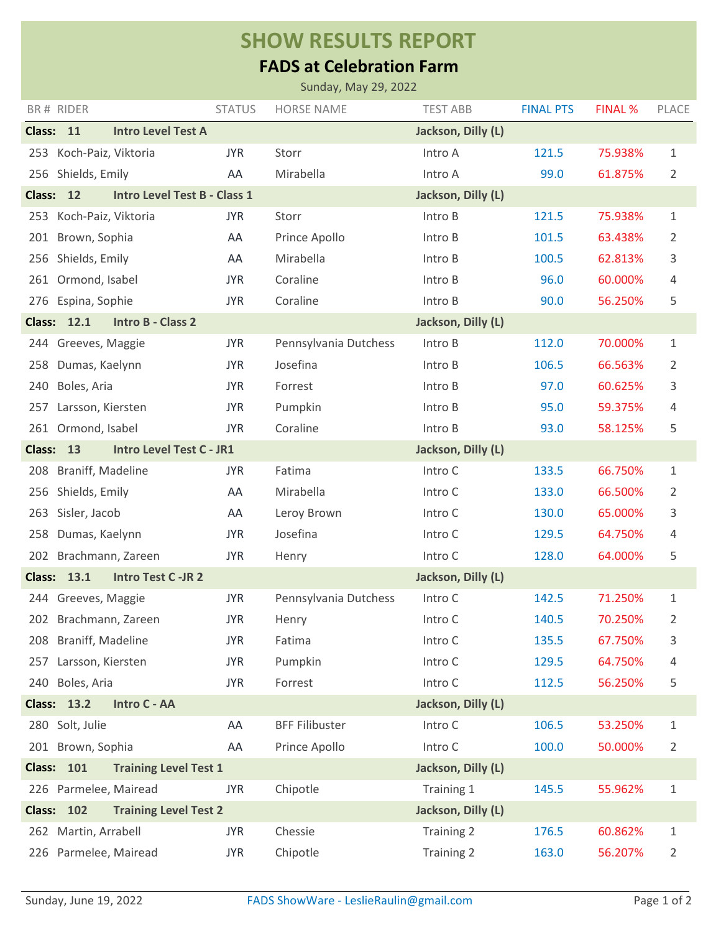## **SHOW RESULTS REPORT**

## **FADS at Celebration Farm**

| Sunday, May 29, 2022                                                       |                       |                                     |               |                       |                    |                  |                |                |  |  |
|----------------------------------------------------------------------------|-----------------------|-------------------------------------|---------------|-----------------------|--------------------|------------------|----------------|----------------|--|--|
|                                                                            | BR# RIDER             |                                     | <b>STATUS</b> | <b>HORSE NAME</b>     | <b>TEST ABB</b>    | <b>FINAL PTS</b> | <b>FINAL %</b> | PLACE          |  |  |
| Class: 11                                                                  |                       | <b>Intro Level Test A</b>           |               |                       | Jackson, Dilly (L) |                  |                |                |  |  |
| 253                                                                        | Koch-Paiz, Viktoria   |                                     | <b>JYR</b>    | Storr                 | Intro A            | 121.5            | 75.938%        | 1              |  |  |
|                                                                            | 256 Shields, Emily    |                                     | AA            | Mirabella             | Intro A            | 99.0             | 61.875%        | 2              |  |  |
| <b>Class:</b>                                                              | 12                    | <b>Intro Level Test B - Class 1</b> |               |                       | Jackson, Dilly (L) |                  |                |                |  |  |
| 253                                                                        | Koch-Paiz, Viktoria   |                                     | <b>JYR</b>    | Storr                 | Intro B            | 121.5            | 75.938%        | 1              |  |  |
| 201                                                                        | Brown, Sophia         |                                     | AA            | Prince Apollo         | Intro B            | 101.5            | 63.438%        | 2              |  |  |
|                                                                            | 256 Shields, Emily    |                                     | AA            | Mirabella             | Intro B            | 100.5            | 62.813%        | 3              |  |  |
| 261                                                                        | Ormond, Isabel        |                                     | <b>JYR</b>    | Coraline              | Intro B            | 96.0             | 60.000%        | 4              |  |  |
|                                                                            | 276 Espina, Sophie    |                                     | <b>JYR</b>    | Coraline              | Intro B            | 90.0             | 56.250%        | 5              |  |  |
|                                                                            | <b>Class: 12.1</b>    | <b>Intro B - Class 2</b>            |               |                       | Jackson, Dilly (L) |                  |                |                |  |  |
| 244                                                                        | Greeves, Maggie       |                                     | <b>JYR</b>    | Pennsylvania Dutchess | Intro B            | 112.0            | 70.000%        | 1              |  |  |
| 258                                                                        | Dumas, Kaelynn        |                                     | <b>JYR</b>    | Josefina              | Intro B            | 106.5            | 66.563%        | 2              |  |  |
| 240                                                                        | Boles, Aria           |                                     | <b>JYR</b>    | Forrest               | Intro B            | 97.0             | 60.625%        | 3              |  |  |
| 257                                                                        | Larsson, Kiersten     |                                     | <b>JYR</b>    | Pumpkin               | Intro B            | 95.0             | 59.375%        | 4              |  |  |
|                                                                            | 261 Ormond, Isabel    |                                     | <b>JYR</b>    | Coraline              | Intro B            | 93.0             | 58.125%        | 5              |  |  |
| <b>Class:</b>                                                              | 13                    | <b>Intro Level Test C - JR1</b>     |               | Jackson, Dilly (L)    |                    |                  |                |                |  |  |
| 208                                                                        | Braniff, Madeline     |                                     | <b>JYR</b>    | Fatima                | Intro C            | 133.5            | 66.750%        | 1              |  |  |
| 256                                                                        | Shields, Emily        |                                     | AA            | Mirabella             | Intro C            | 133.0            | 66.500%        | 2              |  |  |
| 263                                                                        | Sisler, Jacob         |                                     | AA            | Leroy Brown           | Intro C            | 130.0            | 65.000%        | 3              |  |  |
| 258                                                                        | Dumas, Kaelynn        |                                     | <b>JYR</b>    | Josefina              | Intro C            | 129.5            | 64.750%        | 4              |  |  |
| 202                                                                        | Brachmann, Zareen     |                                     | <b>JYR</b>    | Henry                 | Intro C            | 128.0            | 64.000%        | 5              |  |  |
| <b>Class: 13.1</b><br><b>Intro Test C-JR 2</b><br>Jackson, Dilly (L)       |                       |                                     |               |                       |                    |                  |                |                |  |  |
|                                                                            | 244 Greeves, Maggie   |                                     | <b>JYR</b>    | Pennsylvania Dutchess | Intro C            | 142.5            | 71.250%        | 1              |  |  |
|                                                                            | 202 Brachmann, Zareen |                                     | <b>JYR</b>    | Henry                 | Intro C            | 140.5            | 70.250%        | 2              |  |  |
| 208                                                                        | Braniff, Madeline     |                                     | <b>JYR</b>    | Fatima                | Intro C            | 135.5            | 67.750%        | 3              |  |  |
|                                                                            | 257 Larsson, Kiersten |                                     | <b>JYR</b>    | Pumpkin               | Intro C            | 129.5            | 64.750%        | 4              |  |  |
|                                                                            | 240 Boles, Aria       |                                     | <b>JYR</b>    | Forrest               | Intro C            | 112.5            | 56.250%        | 5              |  |  |
| <b>Class: 13.2</b><br>Intro C - AA<br>Jackson, Dilly (L)                   |                       |                                     |               |                       |                    |                  |                |                |  |  |
|                                                                            | 280 Solt, Julie       |                                     | AA            | <b>BFF Filibuster</b> | Intro C            | 106.5            | 53.250%        | $\mathbf 1$    |  |  |
|                                                                            | 201 Brown, Sophia     |                                     | AA            | Prince Apollo         | Intro C            | 100.0            | 50.000%        | 2              |  |  |
| <b>Class: 101</b><br><b>Training Level Test 1</b><br>Jackson, Dilly (L)    |                       |                                     |               |                       |                    |                  |                |                |  |  |
|                                                                            | 226 Parmelee, Mairead |                                     | <b>JYR</b>    | Chipotle              | Training 1         | 145.5            | 55.962%        | $\mathbf 1$    |  |  |
| 102<br><b>Training Level Test 2</b><br>Jackson, Dilly (L)<br><b>Class:</b> |                       |                                     |               |                       |                    |                  |                |                |  |  |
|                                                                            | 262 Martin, Arrabell  |                                     | <b>JYR</b>    | Chessie               | Training 2         | 176.5            | 60.862%        | 1              |  |  |
|                                                                            | 226 Parmelee, Mairead |                                     | <b>JYR</b>    | Chipotle              | Training 2         | 163.0            | 56.207%        | $\overline{2}$ |  |  |